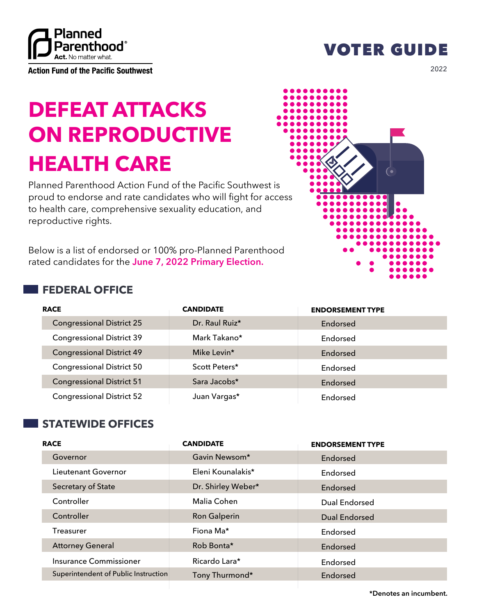

**Action Fund of the Pacific Southwest** 

## VOTER GUIDE

2022

# **DEFEAT ATTACKS ON REPRODUCTIVE HEALTH CARE**

Planned Parenthood Action Fund of the Pacific Southwest is proud to endorse and rate candidates who will fight for access to health care, comprehensive sexuality education, and reproductive rights.

Below is a list of endorsed or 100% pro-Planned Parenthood rated candidates for the **June 7, 2022 Primary Election.**

### **FEDERAL OFFICE**

| $\bullet$<br>$\bullet$ (<br>- 11<br>- 20<br>- 11 | , ,<br>- 11<br>- 11<br>D<br>and the state of the state of the state of the state of the state of the state of the state of the state of th |    |        |
|--------------------------------------------------|--------------------------------------------------------------------------------------------------------------------------------------------|----|--------|
| S                                                |                                                                                                                                            | (∙ |        |
| cess                                             | $\bullet$                                                                                                                                  |    | D      |
| bd                                               |                                                                                                                                            |    | o<br>n |

| <b>RACE</b>                      | <b>CANDIDATE</b> | <b>ENDORSEMENT TYPE</b> |
|----------------------------------|------------------|-------------------------|
| <b>Congressional District 25</b> | Dr. Raul Ruiz*   | Endorsed                |
| <b>Congressional District 39</b> | Mark Takano*     | Endorsed                |
| <b>Congressional District 49</b> | Mike Levin*      | Endorsed                |
| <b>Congressional District 50</b> | Scott Peters*    | Endorsed                |
| <b>Congressional District 51</b> | Sara Jacobs*     | Endorsed                |
| <b>Congressional District 52</b> | Juan Vargas*     | Endorsed                |

### **STATEWIDE OFFICES**

| <b>RACE</b>                          | <b>CANDIDATE</b>    | <b>ENDORSEMENT TYPE</b> |
|--------------------------------------|---------------------|-------------------------|
| Governor                             | Gavin Newsom*       | Endorsed                |
| Lieutenant Governor                  | Eleni Kounalakis*   | Endorsed                |
| Secretary of State                   | Dr. Shirley Weber*  | Endorsed                |
| Controller                           | Malia Cohen         | Dual Endorsed           |
| Controller                           | <b>Ron Galperin</b> | <b>Dual Endorsed</b>    |
| <b>Treasurer</b>                     | Fiona Ma*           | Endorsed                |
| <b>Attorney General</b>              | Rob Bonta*          | Endorsed                |
| Insurance Commissioner               | Ricardo Lara*       | Endorsed                |
| Superintendent of Public Instruction | Tony Thurmond*      | Endorsed                |

**\*Denotes an incumbent.**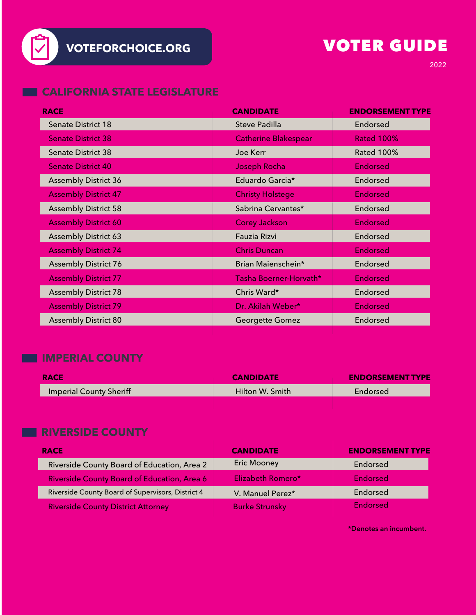

# VOTER GUIDE

#### **CALIFORNIA STATE LEGISLATURE**

| <b>RACE</b>                 | <b>CANDIDATE</b>            | <b>ENDORSEMENT TYPE</b> |
|-----------------------------|-----------------------------|-------------------------|
| <b>Senate District 18</b>   | Steve Padilla               | Endorsed                |
| <b>Senate District 38</b>   | <b>Catherine Blakespear</b> | <b>Rated 100%</b>       |
| <b>Senate District 38</b>   | Joe Kerr                    | <b>Rated 100%</b>       |
| <b>Senate District 40</b>   | Joseph Rocha                | <b>Endorsed</b>         |
| <b>Assembly District 36</b> | Eduardo Garcia*             | Endorsed                |
| <b>Assembly District 47</b> | <b>Christy Holstege</b>     | Endorsed                |
| <b>Assembly District 58</b> | Sabrina Cervantes*          | Endorsed                |
| <b>Assembly District 60</b> | <b>Corey Jackson</b>        | <b>Endorsed</b>         |
| <b>Assembly District 63</b> | Fauzia Rizvi                | Endorsed                |
| <b>Assembly District 74</b> | <b>Chris Duncan</b>         | <b>Endorsed</b>         |
| <b>Assembly District 76</b> | Brian Maienschein*          | Endorsed                |
| <b>Assembly District 77</b> | Tasha Boerner-Horvath*      | <b>Endorsed</b>         |
| <b>Assembly District 78</b> | Chris Ward*                 | Endorsed                |
| <b>Assembly District 79</b> | Dr. Akilah Weber*           | <b>Endorsed</b>         |
| <b>Assembly District 80</b> | <b>Georgette Gomez</b>      | Endorsed                |

### **IMPERIAL COUNTY**

| <b>RACE</b>                    | <b>CANDIDATE</b> | <b>ENDORSEMENT TYPE</b> |
|--------------------------------|------------------|-------------------------|
| <b>Imperial County Sheriff</b> | Hilton W. Smith  | Endorsed                |
|                                |                  |                         |

#### **RIVERSIDE COUNTY**

| <b>RACE</b>                                       | <b>CANDIDATE</b>      | <b>ENDORSEMENT TYPE</b> |
|---------------------------------------------------|-----------------------|-------------------------|
| Riverside County Board of Education, Area 2       | <b>Eric Mooney</b>    | Endorsed                |
| Riverside County Board of Education, Area 6       | Elizabeth Romero*     | <b>Endorsed</b>         |
| Riverside County Board of Supervisors, District 4 | V. Manuel Perez*      | Endorsed                |
| <b>Riverside County District Attorney</b>         | <b>Burke Strunsky</b> | <b>Endorsed</b>         |

**\*Denotes an incumbent.**